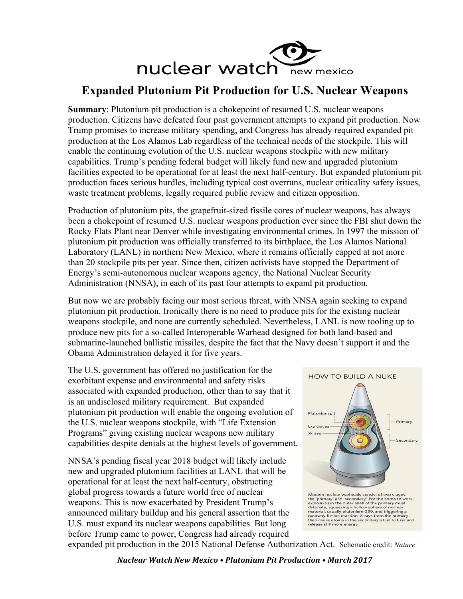

## **Expanded Plutonium Pit Production for U.S. Nuclear Weapons**

**Summary**: Plutonium pit production is a chokepoint of resumed U.S. nuclear weapons production. Citizens have defeated four past government attempts to expand pit production. Now Trump promises to increase military spending, and Congress has already required expanded pit production at the Los Alamos Lab regardless of the technical needs of the stockpile. This will enable the continuing evolution of the U.S. nuclear weapons stockpile with new military capabilities. Trump's pending federal budget will likely fund new and upgraded plutonium facilities expected to be operational for at least the next half-century. But expanded plutonium pit production faces serious hurdles, including typical cost overruns, nuclear criticality safety issues, waste treatment problems, legally required public review and citizen opposition.

Production of plutonium pits, the grapefruit-sized fissile cores of nuclear weapons, has always been a chokepoint of resumed U.S. nuclear weapons production ever since the FBI shut down the Rocky Flats Plant near Denver while investigating environmental crimes. In 1997 the mission of plutonium pit production was officially transferred to its birthplace, the Los Alamos National Laboratory (LANL) in northern New Mexico, where it remains officially capped at not more than 20 stockpile pits per year. Since then, citizen activists have stopped the Department of Energy's semi-autonomous nuclear weapons agency, the National Nuclear Security Administration (NNSA), in each of its past four attempts to expand pit production.

But now we are probably facing our most serious threat, with NNSA again seeking to expand plutonium pit production. Ironically there is no need to produce pits for the existing nuclear weapons stockpile, and none are currently scheduled. Nevertheless, LANL is now tooling up to produce new pits for a so-called Interoperable Warhead designed for both land-based and submarine-launched ballistic missiles, despite the fact that the Navy doesn't support it and the Obama Administration delayed it for five years.

The U.S. government has offered no justification for the exorbitant expense and environmental and safety risks associated with expanded production, other than to say that it is an undisclosed military requirement. But expanded plutonium pit production will enable the ongoing evolution of the U.S. nuclear weapons stockpile, with "Life Extension Programs" giving existing nuclear weapons new military capabilities despite denials at the highest levels of government.

NNSA's pending fiscal year 2018 budget will likely include new and upgraded plutonium facilities at LANL that will be operational for at least the next half-century, obstructing global progress towards a future world free of nuclear weapons. This is now exacerbated by President Trump's announced military buildup and his general assertion that the U.S. must expand its nuclear weapons capabilities But long before Trump came to power, Congress had already required



Modern nuclear warheads consist of two stages:<br>the 'primary' and 'secondary'. For the bomb to work,<br>explosives in the outer shell of the primary must<br>detonate, squeezing a hollow sphere of nuclear<br>material, usually plutoni

expanded pit production in the 2015 National Defense Authorization Act. Schematic credit: *Nature*

*Nuclear Watch New Mexico • Plutonium Pit Production • March 2017*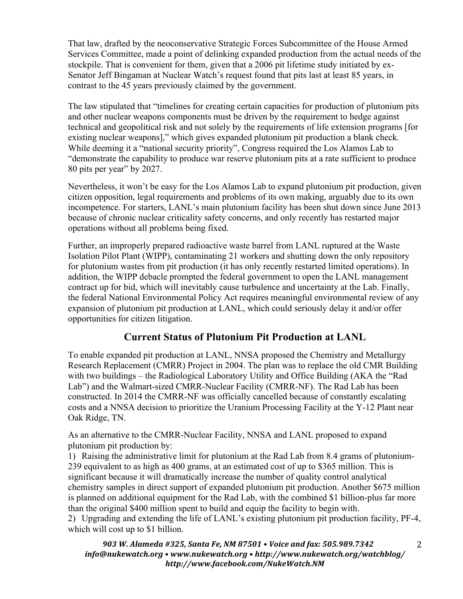That law, drafted by the neoconservative Strategic Forces Subcommittee of the House Armed Services Committee, made a point of delinking expanded production from the actual needs of the stockpile. That is convenient for them, given that a 2006 pit lifetime study initiated by ex-Senator Jeff Bingaman at Nuclear Watch's request found that pits last at least 85 years, in contrast to the 45 years previously claimed by the government.

The law stipulated that "timelines for creating certain capacities for production of plutonium pits and other nuclear weapons components must be driven by the requirement to hedge against technical and geopolitical risk and not solely by the requirements of life extension programs [for existing nuclear weapons]," which gives expanded plutonium pit production a blank check. While deeming it a "national security priority", Congress required the Los Alamos Lab to "demonstrate the capability to produce war reserve plutonium pits at a rate sufficient to produce 80 pits per year" by 2027.

Nevertheless, it won't be easy for the Los Alamos Lab to expand plutonium pit production, given citizen opposition, legal requirements and problems of its own making, arguably due to its own incompetence. For starters, LANL's main plutonium facility has been shut down since June 2013 because of chronic nuclear criticality safety concerns, and only recently has restarted major operations without all problems being fixed.

Further, an improperly prepared radioactive waste barrel from LANL ruptured at the Waste Isolation Pilot Plant (WIPP), contaminating 21 workers and shutting down the only repository for plutonium wastes from pit production (it has only recently restarted limited operations). In addition, the WIPP debacle prompted the federal government to open the LANL management contract up for bid, which will inevitably cause turbulence and uncertainty at the Lab. Finally, the federal National Environmental Policy Act requires meaningful environmental review of any expansion of plutonium pit production at LANL, which could seriously delay it and/or offer opportunities for citizen litigation.

## **Current Status of Plutonium Pit Production at LANL**

To enable expanded pit production at LANL, NNSA proposed the Chemistry and Metallurgy Research Replacement (CMRR) Project in 2004. The plan was to replace the old CMR Building with two buildings – the Radiological Laboratory Utility and Office Building (AKA the "Rad Lab") and the Walmart-sized CMRR-Nuclear Facility (CMRR-NF). The Rad Lab has been constructed. In 2014 the CMRR-NF was officially cancelled because of constantly escalating costs and a NNSA decision to prioritize the Uranium Processing Facility at the Y-12 Plant near Oak Ridge, TN.

As an alternative to the CMRR-Nuclear Facility, NNSA and LANL proposed to expand plutonium pit production by:

1) Raising the administrative limit for plutonium at the Rad Lab from 8.4 grams of plutonium-239 equivalent to as high as 400 grams, at an estimated cost of up to \$365 million. This is significant because it will dramatically increase the number of quality control analytical chemistry samples in direct support of expanded plutonium pit production. Another \$675 million is planned on additional equipment for the Rad Lab, with the combined \$1 billion-plus far more than the original \$400 million spent to build and equip the facility to begin with.

2) Upgrading and extending the life of LANL's existing plutonium pit production facility, PF-4, which will cost up to \$1 billion.

903 W. Alameda #325, Santa Fe, NM 87501 • Voice and fax: 505.989.7342 *info@nukewatch.org • www.nukewatch.org • http://www.nukewatch.org/watchblog/ http://www.facebook.com/NukeWatch.NM*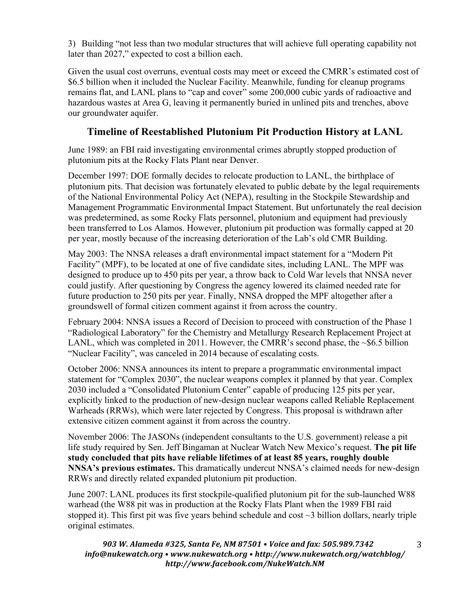3) Building "not less than two modular structures that will achieve full operating capability not later than 2027," expected to cost a billion each.

Given the usual cost overruns, eventual costs may meet or exceed the CMRR's estimated cost of \$6.5 billion when it included the Nuclear Facility. Meanwhile, funding for cleanup programs remains flat, and LANL plans to "cap and cover" some 200,000 cubic yards of radioactive and hazardous wastes at Area G, leaving it permanently buried in unlined pits and trenches, above our groundwater aquifer.

## **Timeline of Reestablished Plutonium Pit Production History at LANL**

June 1989: an FBI raid investigating environmental crimes abruptly stopped production of plutonium pits at the Rocky Flats Plant near Denver.

December 1997: DOE formally decides to relocate production to LANL, the birthplace of plutonium pits. That decision was fortunately elevated to public debate by the legal requirements of the National Environmental Policy Act (NEPA), resulting in the Stockpile Stewardship and Management Programmatic Environmental Impact Statement. But unfortunately the real decision was predetermined, as some Rocky Flats personnel, plutonium and equipment had previously been transferred to Los Alamos. However, plutonium pit production was formally capped at 20 per year, mostly because of the increasing deterioration of the Lab's old CMR Building.

May 2003: The NNSA releases a draft environmental impact statement for a "Modern Pit Facility" (MPF), to be located at one of five candidate sites, including LANL. The MPF was designed to produce up to 450 pits per year, a throw back to Cold War levels that NNSA never could justify. After questioning by Congress the agency lowered its claimed needed rate for future production to 250 pits per year. Finally, NNSA dropped the MPF altogether after a groundswell of formal citizen comment against it from across the country.

February 2004: NNSA issues a Record of Decision to proceed with construction of the Phase 1 "Radiological Laboratory" for the Chemistry and Metallurgy Research Replacement Project at LANL, which was completed in 2011. However, the CMRR's second phase, the  $\sim$ \$6.5 billion "Nuclear Facility", was canceled in 2014 because of escalating costs.

October 2006: NNSA announces its intent to prepare a programmatic environmental impact statement for "Complex 2030", the nuclear weapons complex it planned by that year. Complex 2030 included a "Consolidated Plutonium Center" capable of producing 125 pits per year, explicitly linked to the production of new-design nuclear weapons called Reliable Replacement Warheads (RRWs), which were later rejected by Congress. This proposal is withdrawn after extensive citizen comment against it from across the country.

November 2006: The JASONs (independent consultants to the U.S. government) release a pit life study required by Sen. Jeff Bingaman at Nuclear Watch New Mexico's request. **The pit life study concluded that pits have reliable lifetimes of at least 85 years, roughly double NNSA's previous estimates.** This dramatically undercut NNSA's claimed needs for new-design RRWs and directly related expanded plutonium pit production.

June 2007: LANL produces its first stockpile-qualified plutonium pit for the sub-launched W88 warhead (the W88 pit was in production at the Rocky Flats Plant when the 1989 FBI raid stopped it). This first pit was five years behind schedule and cost  $\sim$ 3 billion dollars, nearly triple original estimates.

903 W. Alameda #325, Santa Fe, NM 87501 • Voice and fax: 505.989.7342 *info@nukewatch.org • www.nukewatch.org • http://www.nukewatch.org/watchblog/ http://www.facebook.com/NukeWatch.NM*